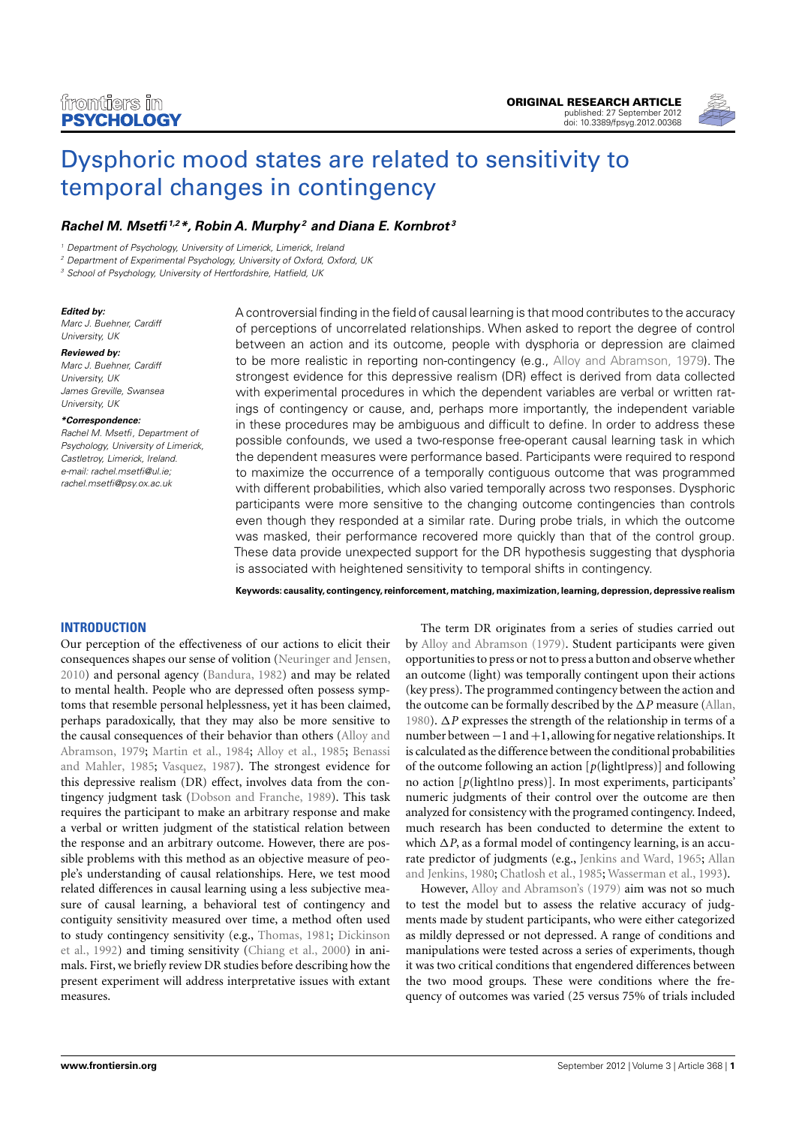

# [Dysphoric mood states are related to sensitivity to](http://www.frontiersin.org/Perception_Science/10.3389/fpsyg.2012.00368/abstract) [temporal changes in contingency](http://www.frontiersin.org/Perception_Science/10.3389/fpsyg.2012.00368/abstract)

# **[Rachel M. Msetfi](http://www.frontiersin.org/Community/WhosWhoActivity.aspx?sname=RachelMsetfi&UID=46413)1,2\*, [Robin A. Murphy](http://www.frontiersin.org/Community/WhosWhoActivity.aspx?sname=RobinMurphy&UID=21017) <sup>2</sup> and [Diana E. Kornbrot](http://www.frontiersin.org/Community/WhosWhoActivity.aspx?sname=DianaKornbrot&UID=26858) <sup>3</sup>**

<sup>1</sup> Department of Psychology, University of Limerick, Limerick, Ireland

<sup>2</sup> Department of Experimental Psychology, University of Oxford, Oxford, UK

<sup>3</sup> School of Psychology, University of Hertfordshire, Hatfield, UK

#### **Edited by:**

Marc J. Buehner, Cardiff University, UK

**Reviewed by:** Marc J. Buehner, Cardiff University, UK James Greville, Swansea University, UK

#### **\*Correspondence:**

Rachel M. Msetfi, Department of Psychology, University of Limerick, Castletroy, Limerick, Ireland. e-mail: [rachel.msetfi@ul.ie;](mailto:rachel.msetfi@ul.ie) [rachel.msetfi@psy.ox.ac.uk](mailto:rachel.msetfi@psy.ox.ac.uk)

A controversial finding in the field of causal learning is that mood contributes to the accuracy of perceptions of uncorrelated relationships. When asked to report the degree of control between an action and its outcome, people with dysphoria or depression are claimed to be more realistic in reporting non-contingency (e.g., [Alloy and Abramson, 1979\)](#page-6-0). The strongest evidence for this depressive realism (DR) effect is derived from data collected with experimental procedures in which the dependent variables are verbal or written ratings of contingency or cause, and, perhaps more importantly, the independent variable in these procedures may be ambiguous and difficult to define. In order to address these possible confounds, we used a two-response free-operant causal learning task in which the dependent measures were performance based. Participants were required to respond to maximize the occurrence of a temporally contiguous outcome that was programmed with different probabilities, which also varied temporally across two responses. Dysphoric participants were more sensitive to the changing outcome contingencies than controls even though they responded at a similar rate. During probe trials, in which the outcome was masked, their performance recovered more quickly than that of the control group. These data provide unexpected support for the DR hypothesis suggesting that dysphoria is associated with heightened sensitivity to temporal shifts in contingency.

**Keywords: causality, contingency, reinforcement, matching, maximization, learning, depression, depressive realism**

# **INTRODUCTION**

Our perception of the effectiveness of our actions to elicit their consequences shapes our sense of volition [\(Neuringer and Jensen,](#page-7-0) [2010\)](#page-7-0) and personal agency [\(Bandura, 1982\)](#page-6-1) and may be related to mental health. People who are depressed often possess symptoms that resemble personal helplessness, yet it has been claimed, perhaps paradoxically, that they may also be more sensitive to the causal consequences of their behavior than others [\(Alloy and](#page-6-0) [Abramson, 1979;](#page-6-0) [Martin et al., 1984;](#page-7-1) [Alloy et al., 1985;](#page-6-2) [Benassi](#page-6-3) [and Mahler, 1985;](#page-6-3) [Vasquez, 1987\)](#page-7-2). The strongest evidence for this depressive realism (DR) effect, involves data from the contingency judgment task [\(Dobson and Franche, 1989\)](#page-7-3). This task requires the participant to make an arbitrary response and make a verbal or written judgment of the statistical relation between the response and an arbitrary outcome. However, there are possible problems with this method as an objective measure of people's understanding of causal relationships. Here, we test mood related differences in causal learning using a less subjective measure of causal learning, a behavioral test of contingency and contiguity sensitivity measured over time, a method often used to study contingency sensitivity (e.g., [Thomas, 1981;](#page-7-4) [Dickinson](#page-7-5) [et al., 1992\)](#page-7-5) and timing sensitivity [\(Chiang et al., 2000\)](#page-7-6) in animals. First, we briefly review DR studies before describing how the present experiment will address interpretative issues with extant measures.

The term DR originates from a series of studies carried out by [Alloy and Abramson](#page-6-0) [\(1979\)](#page-6-0). Student participants were given opportunities to press or not to press a button and observe whether an outcome (light) was temporally contingent upon their actions (key press). The programmed contingency between the action and the outcome can be formally described by the ∆*P* measure [\(Allan,](#page-6-4) [1980\)](#page-6-4). ∆*P* expresses the strength of the relationship in terms of a number between −1 and +1, allowing for negative relationships. It is calculated as the difference between the conditional probabilities of the outcome following an action [*p*(light|press)] and following no action [p(light|no press)]. In most experiments, participants' numeric judgments of their control over the outcome are then analyzed for consistency with the programed contingency. Indeed, much research has been conducted to determine the extent to which ∆*P*, as a formal model of contingency learning, is an accurate predictor of judgments (e.g., [Jenkins and Ward, 1965;](#page-7-7) [Allan](#page-6-5) [and Jenkins, 1980;](#page-6-5) [Chatlosh et al., 1985;](#page-7-8) [Wasserman et al., 1993\)](#page-7-9).

However, [Alloy and Abramson's](#page-7-10) [\(1979\)](#page-7-10) aim was not so much to test the model but to assess the relative accuracy of judgments made by student participants, who were either categorized as mildly depressed or not depressed. A range of conditions and manipulations were tested across a series of experiments, though it was two critical conditions that engendered differences between the two mood groups. These were conditions where the frequency of outcomes was varied (25 versus 75% of trials included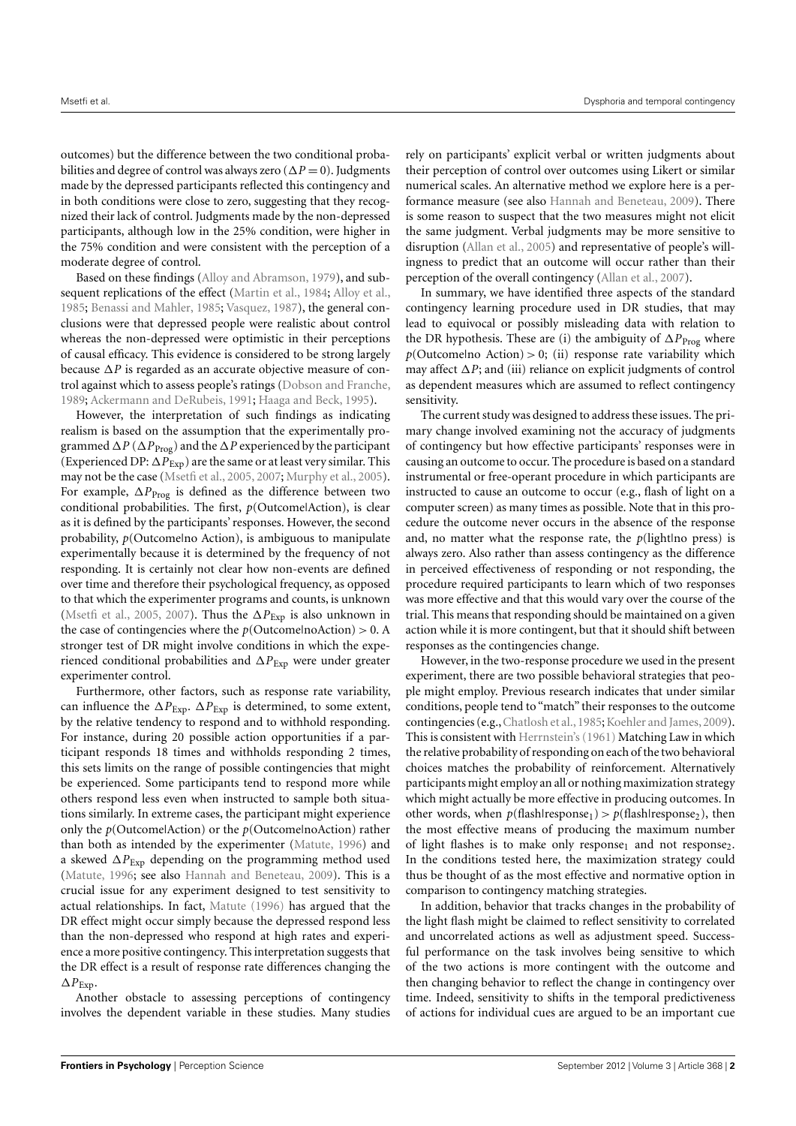outcomes) but the difference between the two conditional probabilities and degree of control was always zero ( $\Delta P = 0$ ). Judgments made by the depressed participants reflected this contingency and in both conditions were close to zero, suggesting that they recognized their lack of control. Judgments made by the non-depressed participants, although low in the 25% condition, were higher in the 75% condition and were consistent with the perception of a moderate degree of control.

Based on these findings [\(Alloy and Abramson,](#page-6-0) [1979\)](#page-6-0), and sub-sequent replications of the effect [\(Martin et al.,](#page-7-1) [1984;](#page-7-1) [Alloy et al.,](#page-6-2) [1985;](#page-6-2) [Benassi and Mahler,](#page-6-3) [1985;](#page-6-3) [Vasquez,](#page-7-2) [1987\)](#page-7-2), the general conclusions were that depressed people were realistic about control whereas the non-depressed were optimistic in their perceptions of causal efficacy. This evidence is considered to be strong largely because ∆*P* is regarded as an accurate objective measure of control against which to assess people's ratings [\(Dobson and Franche,](#page-7-3) [1989;](#page-7-3) [Ackermann and DeRubeis,](#page-6-6) [1991;](#page-6-6) [Haaga and Beck,](#page-7-11) [1995\)](#page-7-11).

However, the interpretation of such findings as indicating realism is based on the assumption that the experimentally programmed ∆*P* (∆*P*Prog) and the ∆*P* experienced by the participant (Experienced DP:  $\Delta P_{Exp}$ ) are the same or at least very similar. This may not be the case [\(Msetfi et al.,](#page-7-12) [2005,](#page-7-12) [2007;](#page-7-13) [Murphy et al.,](#page-7-14) [2005\)](#page-7-14). For example,  $\Delta P_{\text{Prog}}$  is defined as the difference between two conditional probabilities. The first, *p*(Outcome|Action), is clear as it is defined by the participants' responses. However, the second probability, *p*(Outcomelno Action), is ambiguous to manipulate experimentally because it is determined by the frequency of not responding. It is certainly not clear how non-events are defined over time and therefore their psychological frequency, as opposed to that which the experimenter programs and counts, is unknown [\(Msetfi et al.,](#page-7-12) [2005,](#page-7-12) [2007\)](#page-7-13). Thus the  $\Delta P_{Exp}$  is also unknown in the case of contingencies where the  $p$ (Outcome|noAction) > 0. A stronger test of DR might involve conditions in which the experienced conditional probabilities and ∆*P*Exp were under greater experimenter control.

Furthermore, other factors, such as response rate variability, can influence the  $\Delta P_{Exp}$ .  $\Delta P_{Exp}$  is determined, to some extent, by the relative tendency to respond and to withhold responding. For instance, during 20 possible action opportunities if a participant responds 18 times and withholds responding 2 times, this sets limits on the range of possible contingencies that might be experienced. Some participants tend to respond more while others respond less even when instructed to sample both situations similarly. In extreme cases, the participant might experience only the *p*(Outcome|Action) or the *p*(Outcome|noAction) rather than both as intended by the experimenter [\(Matute,](#page-7-15) [1996\)](#page-7-15) and a skewed ∆*P*Exp depending on the programming method used [\(Matute,](#page-7-15) [1996;](#page-7-15) see also [Hannah and Beneteau,](#page-7-16) [2009\)](#page-7-16). This is a crucial issue for any experiment designed to test sensitivity to actual relationships. In fact, [Matute](#page-7-15) [\(1996\)](#page-7-15) has argued that the DR effect might occur simply because the depressed respond less than the non-depressed who respond at high rates and experience a more positive contingency. This interpretation suggests that the DR effect is a result of response rate differences changing the  $\Delta P_{\text{Exp}}$ .

Another obstacle to assessing perceptions of contingency involves the dependent variable in these studies. Many studies

rely on participants' explicit verbal or written judgments about their perception of control over outcomes using Likert or similar numerical scales. An alternative method we explore here is a performance measure (see also [Hannah and Beneteau,](#page-7-16) [2009\)](#page-7-16). There is some reason to suspect that the two measures might not elicit the same judgment. Verbal judgments may be more sensitive to disruption [\(Allan et al.,](#page-6-7) [2005\)](#page-6-7) and representative of people's willingness to predict that an outcome will occur rather than their perception of the overall contingency [\(Allan et al.,](#page-6-8) [2007\)](#page-6-8).

In summary, we have identified three aspects of the standard contingency learning procedure used in DR studies, that may lead to equivocal or possibly misleading data with relation to the DR hypothesis. These are (i) the ambiguity of ∆*P*<sub>Prog</sub> where  $p$ (Outcomelno Action) > 0; (ii) response rate variability which may affect ∆*P*; and (iii) reliance on explicit judgments of control as dependent measures which are assumed to reflect contingency sensitivity.

The current study was designed to address these issues. The primary change involved examining not the accuracy of judgments of contingency but how effective participants' responses were in causing an outcome to occur. The procedure is based on a standard instrumental or free-operant procedure in which participants are instructed to cause an outcome to occur (e.g., flash of light on a computer screen) as many times as possible. Note that in this procedure the outcome never occurs in the absence of the response and, no matter what the response rate, the  $p(\text{light} \mid \text{no} \text{ press})$  is always zero. Also rather than assess contingency as the difference in perceived effectiveness of responding or not responding, the procedure required participants to learn which of two responses was more effective and that this would vary over the course of the trial. This means that responding should be maintained on a given action while it is more contingent, but that it should shift between responses as the contingencies change.

However, in the two-response procedure we used in the present experiment, there are two possible behavioral strategies that people might employ. Previous research indicates that under similar conditions, people tend to "match" their responses to the outcome contingencies (e.g., Chatlosh et al., 1985; Koehler and James, 2009). This is consistent with Herrnstein's (1961) Matching Law in which the relative probability of responding on each of the two behavioral choices matches the probability of reinforcement. Alternatively participants might employ an all or nothing maximization strategy which might actually be more effective in producing outcomes. In other words, when  $p$ (flash|response<sub>1</sub>) >  $p$ (flash|response<sub>2</sub>), then the most effective means of producing the maximum number of light flashes is to make only response<sub>1</sub> and not response<sub>2</sub>. In the conditions tested here, the maximization strategy could thus be thought of as the most effective and normative option in comparison to contingency matching strategies.

In addition, behavior that tracks changes in the probability of the light flash might be claimed to reflect sensitivity to correlated and uncorrelated actions as well as adjustment speed. Successful performance on the task involves being sensitive to which of the two actions is more contingent with the outcome and then changing behavior to reflect the change in contingency over time. Indeed, sensitivity to shifts in the temporal predictiveness of actions for individual cues are argued to be an important cue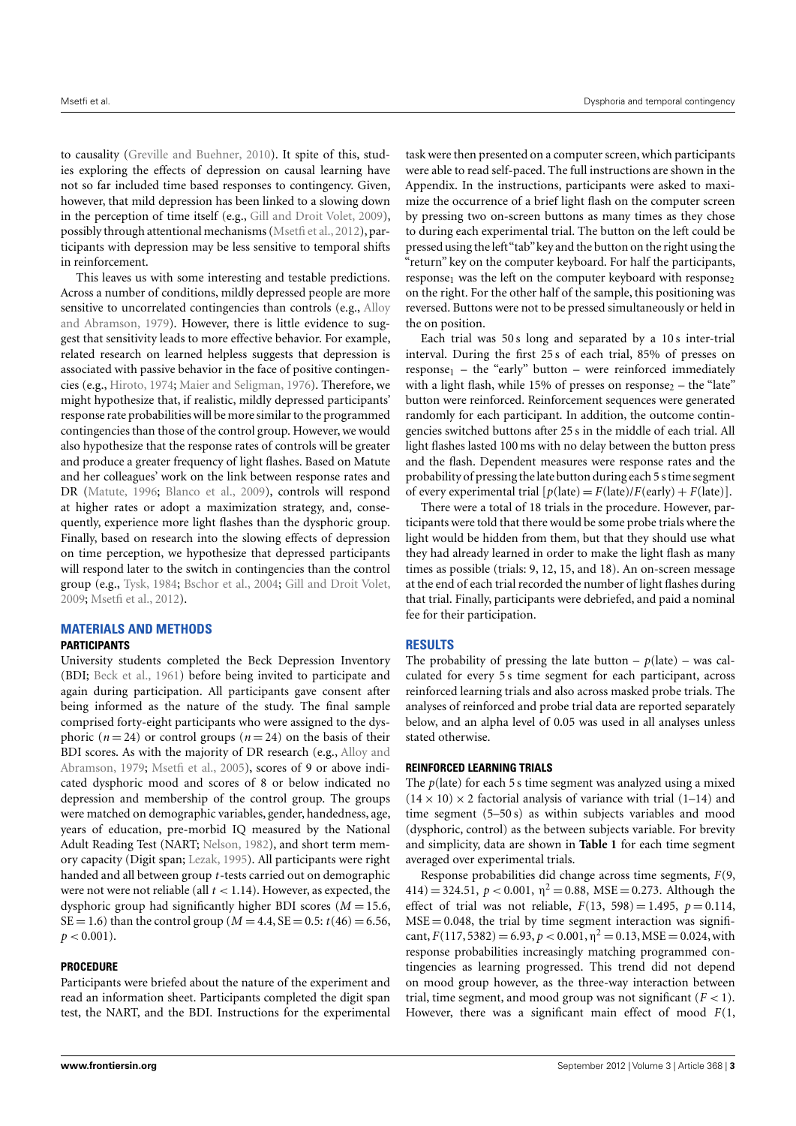to causality [\(Greville and Buehner,](#page-7-19) [2010\)](#page-7-19). It spite of this, studies exploring the effects of depression on causal learning have not so far included time based responses to contingency. Given, however, that mild depression has been linked to a slowing down in the perception of time itself (e.g., [Gill and Droit Volet,](#page-7-20) [2009\)](#page-7-20), possibly through attentional mechanisms [\(Msetfi et al.,](#page-7-21) [2012\)](#page-7-21), participants with depression may be less sensitive to temporal shifts in reinforcement.

This leaves us with some interesting and testable predictions. Across a number of conditions, mildly depressed people are more sensitive to uncorrelated contingencies than controls (e.g., [Alloy](#page-6-0) [and Abramson,](#page-6-0) [1979\)](#page-6-0). However, there is little evidence to suggest that sensitivity leads to more effective behavior. For example, related research on learned helpless suggests that depression is associated with passive behavior in the face of positive contingencies (e.g., [Hiroto,](#page-7-22) [1974;](#page-7-22) [Maier and Seligman,](#page-7-23) [1976\)](#page-7-23). Therefore, we might hypothesize that, if realistic, mildly depressed participants' response rate probabilities will be more similar to the programmed contingencies than those of the control group. However, we would also hypothesize that the response rates of controls will be greater and produce a greater frequency of light flashes. Based on Matute and her colleagues' work on the link between response rates and DR [\(Matute,](#page-7-15) [1996;](#page-7-15) [Blanco et al.,](#page-6-9) [2009\)](#page-6-9), controls will respond at higher rates or adopt a maximization strategy, and, consequently, experience more light flashes than the dysphoric group. Finally, based on research into the slowing effects of depression on time perception, we hypothesize that depressed participants will respond later to the switch in contingencies than the control group (e.g., [Tysk,](#page-7-24) [1984;](#page-7-24) [Bschor et al.,](#page-7-25) [2004;](#page-7-25) [Gill and Droit Volet,](#page-7-20) [2009;](#page-7-20) [Msetfi et al.,](#page-7-21) [2012\)](#page-7-21).

## **MATERIALS AND METHODS**

### **PARTICIPANTS**

University students completed the Beck Depression Inventory (BDI; [Beck et al.,](#page-6-10) [1961\)](#page-6-10) before being invited to participate and again during participation. All participants gave consent after being informed as the nature of the study. The final sample comprised forty-eight participants who were assigned to the dysphoric ( $n = 24$ ) or control groups ( $n = 24$ ) on the basis of their BDI scores. As with the majority of DR research (e.g., [Alloy and](#page-6-0) [Abramson,](#page-6-0) [1979;](#page-6-0) [Msetfi et al.,](#page-7-12) [2005\)](#page-7-12), scores of 9 or above indicated dysphoric mood and scores of 8 or below indicated no depression and membership of the control group. The groups were matched on demographic variables, gender, handedness, age, years of education, pre-morbid IQ measured by the National Adult Reading Test (NART; [Nelson,](#page-7-26) [1982\)](#page-7-26), and short term memory capacity (Digit span; [Lezak,](#page-7-27) [1995\)](#page-7-27). All participants were right handed and all between group *t*-tests carried out on demographic were not were not reliable (all  $t < 1.14$ ). However, as expected, the dysphoric group had significantly higher BDI scores (*M* = 15.6, SE = 1.6) than the control group ( $M = 4.4$ , SE = 0.5:  $t(46) = 6.56$ ,  $p < 0.001$ ).

## **PROCEDURE**

Participants were briefed about the nature of the experiment and read an information sheet. Participants completed the digit span test, the NART, and the BDI. Instructions for the experimental

task were then presented on a computer screen, which participants were able to read self-paced. The full instructions are shown in the Appendix. In the instructions, participants were asked to maximize the occurrence of a brief light flash on the computer screen by pressing two on-screen buttons as many times as they chose to during each experimental trial. The button on the left could be pressed using the left"tab"key and the button on the right using the "return" key on the computer keyboard. For half the participants, response<sub>1</sub> was the left on the computer keyboard with response<sub>2</sub> on the right. For the other half of the sample, this positioning was reversed. Buttons were not to be pressed simultaneously or held in the on position.

Each trial was 50 s long and separated by a 10 s inter-trial interval. During the first 25 s of each trial, 85% of presses on  $response_1$  – the "early" button – were reinforced immediately with a light flash, while 15% of presses on response<sub>2</sub> – the "late" button were reinforced. Reinforcement sequences were generated randomly for each participant. In addition, the outcome contingencies switched buttons after 25 s in the middle of each trial. All light flashes lasted 100 ms with no delay between the button press and the flash. Dependent measures were response rates and the probability of pressing the late button during each 5 s time segment of every experimental trial  $[p(\text{late}) = F(\text{late})/F(\text{early}) + F(\text{late})].$ 

There were a total of 18 trials in the procedure. However, participants were told that there would be some probe trials where the light would be hidden from them, but that they should use what they had already learned in order to make the light flash as many times as possible (trials: 9, 12, 15, and 18). An on-screen message at the end of each trial recorded the number of light flashes during that trial. Finally, participants were debriefed, and paid a nominal fee for their participation.

## **RESULTS**

The probability of pressing the late button  $- p$ (late) – was calculated for every 5 s time segment for each participant, across reinforced learning trials and also across masked probe trials. The analyses of reinforced and probe trial data are reported separately below, and an alpha level of 0.05 was used in all analyses unless stated otherwise.

## **REINFORCED LEARNING TRIALS**

The *p*(late) for each 5 s time segment was analyzed using a mixed  $(14 \times 10) \times 2$  factorial analysis of variance with trial  $(1-14)$  and time segment (5–50 s) as within subjects variables and mood (dysphoric, control) as the between subjects variable. For brevity and simplicity, data are shown in **[Table 1](#page-3-0)** for each time segment averaged over experimental trials.

Response probabilities did change across time segments, *F*(9,  $414$ ) = 324.51,  $p < 0.001$ ,  $\eta^2 = 0.88$ , MSE = 0.273. Although the effect of trial was not reliable,  $F(13, 598) = 1.495$ ,  $p = 0.114$ ,  $MSE = 0.048$ , the trial by time segment interaction was significant,  $F(117, 5382) = 6.93, p < 0.001, \eta^2 = 0.13$ , MSE = 0.024, with response probabilities increasingly matching programmed contingencies as learning progressed. This trend did not depend on mood group however, as the three-way interaction between trial, time segment, and mood group was not significant  $(F < 1)$ . However, there was a significant main effect of mood *F*(1,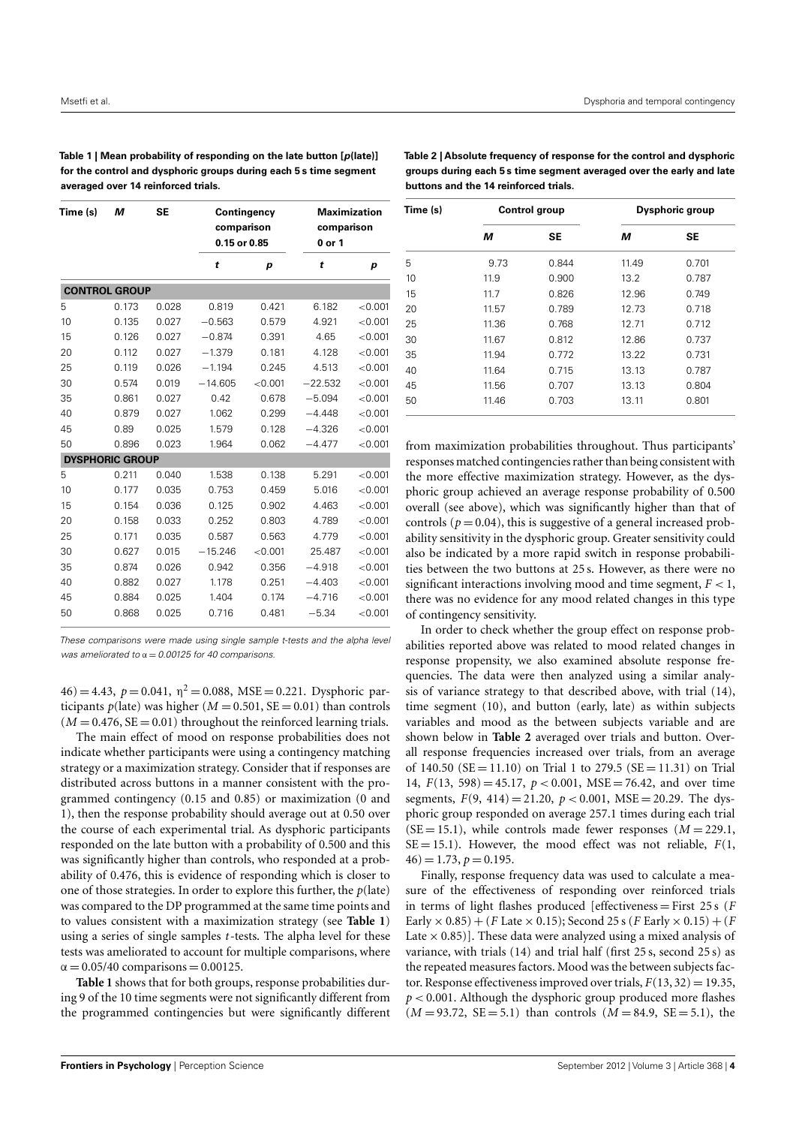<span id="page-3-0"></span>**Table 1 | Mean probability of responding on the late button [p(late)] for the control and dysphoric groups during each 5 s time segment averaged over 14 reinforced trials.**

<span id="page-3-1"></span>**Table 2 | Absolute frequency of response for the control and dysphoric groups during each 5 s time segment averaged over the early and late buttons and the 14 reinforced trials.**

| Time (s)               | М     | <b>SE</b> | Contingency<br>comparison<br>0.15 or 0.85 |                  | <b>Maximization</b><br>comparison<br>0 or 1 |                  |  |  |  |
|------------------------|-------|-----------|-------------------------------------------|------------------|---------------------------------------------|------------------|--|--|--|
|                        |       |           | t                                         | $\boldsymbol{p}$ | t                                           | $\boldsymbol{p}$ |  |  |  |
| <b>CONTROL GROUP</b>   |       |           |                                           |                  |                                             |                  |  |  |  |
| 5                      | 0.173 | 0.028     | 0.819                                     | 0.421            | 6.182                                       | < 0.001          |  |  |  |
| 10                     | 0.135 | 0.027     | $-0.563$                                  | 0.579            | 4.921                                       | < 0.001          |  |  |  |
| 15                     | 0.126 | 0.027     | $-0.874$                                  | 0.391            | 4.65                                        | < 0.001          |  |  |  |
| 20                     | 0.112 | 0.027     | $-1.379$                                  | 0.181            | 4.128                                       | < 0.001          |  |  |  |
| 25                     | 0.119 | 0.026     | $-1.194$                                  | 0.245            | 4.513                                       | < 0.001          |  |  |  |
| 30                     | 0.574 | 0.019     | $-14.605$                                 | < 0.001          | $-22.532$                                   | < 0.001          |  |  |  |
| 35                     | 0.861 | 0.027     | 0.42                                      | 0.678            | $-5.094$                                    | < 0.001          |  |  |  |
| 40                     | 0.879 | 0.027     | 1.062                                     | 0.299            | $-4.448$                                    | < 0.001          |  |  |  |
| 45                     | 0.89  | 0.025     | 1.579                                     | 0.128            | $-4.326$                                    | < 0.001          |  |  |  |
| 50                     | 0.896 | 0.023     | 1.964                                     | 0.062            | $-4.477$                                    | < 0.001          |  |  |  |
| <b>DYSPHORIC GROUP</b> |       |           |                                           |                  |                                             |                  |  |  |  |
| 5                      | 0.211 | 0.040     | 1.538                                     | 0.138            | 5.291                                       | < 0.001          |  |  |  |
| 10                     | 0.177 | 0.035     | 0.753                                     | 0.459            | 5.016                                       | < 0.001          |  |  |  |
| 15                     | 0.154 | 0.036     | 0.125                                     | 0.902            | 4.463                                       | < 0.001          |  |  |  |
| 20                     | 0.158 | 0.033     | 0.252                                     | 0.803            | 4.789                                       | < 0.001          |  |  |  |
| 25                     | 0.171 | 0.035     | 0.587                                     | 0.563            | 4.779                                       | < 0.001          |  |  |  |
| 30                     | 0.627 | 0.015     | $-15.246$                                 | < 0.001          | 25.487                                      | < 0.001          |  |  |  |
| 35                     | 0.874 | 0.026     | 0.942                                     | 0.356            | $-4.918$                                    | < 0.001          |  |  |  |
| 40                     | 0.882 | 0.027     | 1.178                                     | 0.251            | $-4.403$                                    | < 0.001          |  |  |  |
| 45                     | 0.884 | 0.025     | 1.404                                     | 0.174            | $-4.716$                                    | < 0.001          |  |  |  |
| 50                     | 0.868 | 0.025     | 0.716                                     | 0.481            | $-5.34$                                     | < 0.001          |  |  |  |

These comparisons were made using single sample t-tests and the alpha level was ameliorated to  $\alpha = 0.00125$  for 40 comparisons.

 $46$ ) = 4.43,  $p = 0.041$ ,  $\eta^2 = 0.088$ , MSE = 0.221. Dysphoric participants  $p$ (late) was higher ( $M = 0.501$ ,  $SE = 0.01$ ) than controls  $(M = 0.476, SE = 0.01)$  throughout the reinforced learning trials.

The main effect of mood on response probabilities does not indicate whether participants were using a contingency matching strategy or a maximization strategy. Consider that if responses are distributed across buttons in a manner consistent with the programmed contingency (0.15 and 0.85) or maximization (0 and 1), then the response probability should average out at 0.50 over the course of each experimental trial. As dysphoric participants responded on the late button with a probability of 0.500 and this was significantly higher than controls, who responded at a probability of 0.476, this is evidence of responding which is closer to one of those strategies. In order to explore this further, the *p*(late) was compared to the DP programmed at the same time points and to values consistent with a maximization strategy (see **[Table 1](#page-3-0)**) using a series of single samples *t*-tests. The alpha level for these tests was ameliorated to account for multiple comparisons, where  $\alpha = 0.05/40$  comparisons = 0.00125.

**[Table 1](#page-3-0)** shows that for both groups, response probabilities during 9 of the 10 time segments were not significantly different from the programmed contingencies but were significantly different

| Time (s) |       | <b>Control group</b> | Dysphoric group |           |  |
|----------|-------|----------------------|-----------------|-----------|--|
|          | м     | <b>SE</b>            | М               | <b>SE</b> |  |
| 5        | 9.73  | 0.844                | 11.49           | 0.701     |  |
| 10       | 11.9  | 0.900                | 13.2            | 0.787     |  |
| 15       | 11.7  | 0.826                | 12.96           | 0.749     |  |
| 20       | 11.57 | 0.789                | 12.73           | 0.718     |  |
| 25       | 11.36 | 0.768                | 12.71           | 0.712     |  |
| 30       | 11.67 | 0.812                | 12.86           | 0.737     |  |
| 35       | 11.94 | 0.772                | 13.22           | 0.731     |  |
| 40       | 11.64 | 0.715                | 13.13           | 0.787     |  |
| 45       | 11.56 | 0.707                | 13.13           | 0.804     |  |
| 50       | 11.46 |                      | 13.11           | 0.801     |  |

from maximization probabilities throughout. Thus participants' responses matched contingencies rather than being consistent with the more effective maximization strategy. However, as the dysphoric group achieved an average response probability of 0.500 overall (see above), which was significantly higher than that of controls ( $p = 0.04$ ), this is suggestive of a general increased probability sensitivity in the dysphoric group. Greater sensitivity could also be indicated by a more rapid switch in response probabilities between the two buttons at 25 s. However, as there were no significant interactions involving mood and time segment,  $F < 1$ , there was no evidence for any mood related changes in this type of contingency sensitivity.

In order to check whether the group effect on response probabilities reported above was related to mood related changes in response propensity, we also examined absolute response frequencies. The data were then analyzed using a similar analysis of variance strategy to that described above, with trial (14), time segment (10), and button (early, late) as within subjects variables and mood as the between subjects variable and are shown below in **[Table 2](#page-3-1)** averaged over trials and button. Overall response frequencies increased over trials, from an average of 140.50 ( $SE = 11.10$ ) on Trial 1 to 279.5 ( $SE = 11.31$ ) on Trial 14,  $F(13, 598) = 45.17$ ,  $p < 0.001$ , MSE = 76.42, and over time segments,  $F(9, 414) = 21.20$ ,  $p < 0.001$ , MSE = 20.29. The dysphoric group responded on average 257.1 times during each trial  $(SE = 15.1)$ , while controls made fewer responses  $(M = 229.1)$ ,  $SE = 15.1$ ). However, the mood effect was not reliable,  $F(1, 1)$  $46) = 1.73, p = 0.195.$ 

Finally, response frequency data was used to calculate a measure of the effectiveness of responding over reinforced trials in terms of light flashes produced [effectiveness = First 25 s (*F* Early  $\times$  0.85) + (*F* Late  $\times$  0.15); Second 25 s (*F* Early  $\times$  0.15) + (*F* Late  $\times$  0.85)]. These data were analyzed using a mixed analysis of variance, with trials (14) and trial half (first 25 s, second 25 s) as the repeated measures factors. Mood was the between subjects factor. Response effectiveness improved over trials,  $F(13, 32) = 19.35$ , *p* < 0.001. Although the dysphoric group produced more flashes  $(M = 93.72, SE = 5.1)$  than controls  $(M = 84.9, SE = 5.1)$ , the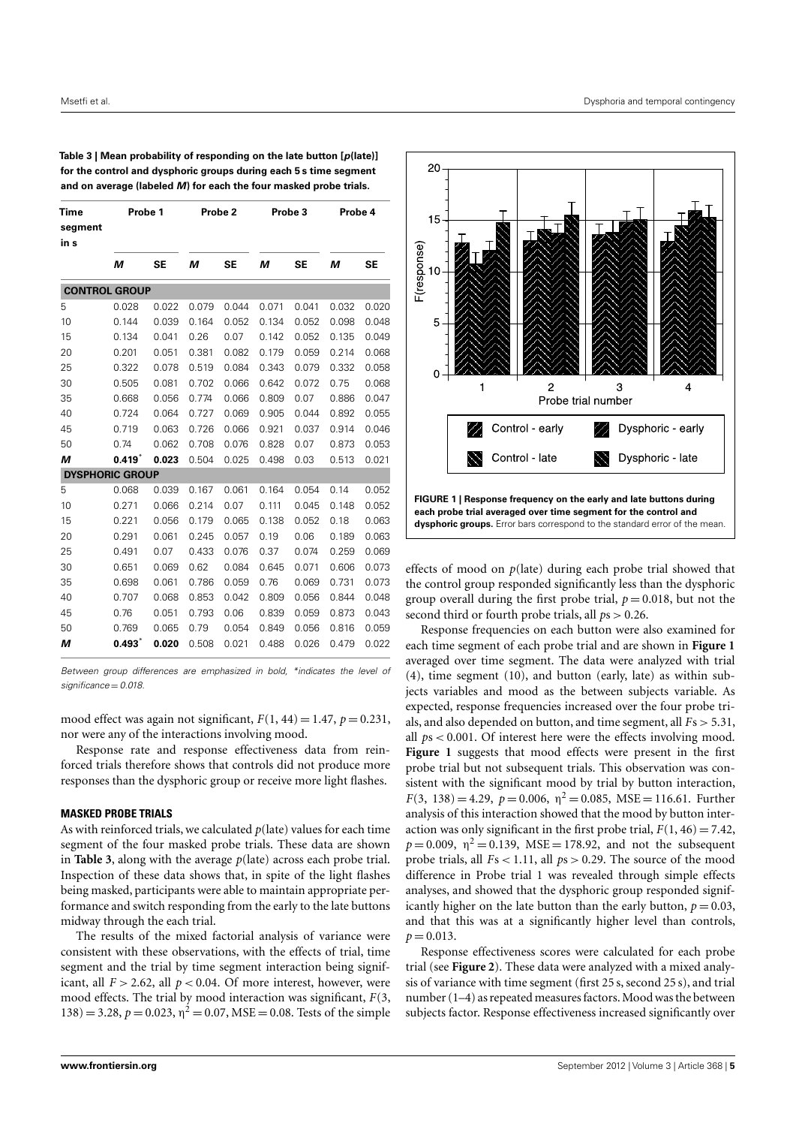| <b>Time</b><br>segment<br>in s | Probe 1     |           | Probe 2 |       | Probe 3 |           | Probe 4 |       |
|--------------------------------|-------------|-----------|---------|-------|---------|-----------|---------|-------|
|                                | М           | <b>SE</b> | М       | SE    | М       | <b>SE</b> | M       | SE    |
| <b>CONTROL GROUP</b>           |             |           |         |       |         |           |         |       |
| 5                              | 0.028       | 0.022     | 0.079   | 0.044 | 0.071   | 0.041     | 0.032   | 0.020 |
| 10                             | 0.144       | 0.039     | 0.164   | 0.052 | 0.134   | 0.052     | 0.098   | 0.048 |
| 15                             | 0.134       | 0.041     | 0.26    | 0.07  | 0.142   | 0.052     | 0.135   | 0.049 |
| 20                             | 0.201       | 0.051     | 0.381   | 0.082 | 0.179   | 0.059     | 0.214   | 0.068 |
| 25                             | 0.322       | 0.078     | 0.519   | 0.084 | 0.343   | 0.079     | 0.332   | 0.058 |
| 30                             | 0.505       | 0.081     | 0.702   | 0.066 | 0.642   | 0.072     | 0.75    | 0.068 |
| 35                             | 0.668       | 0.056     | 0.774   | 0.066 | 0.809   | 0.07      | 0.886   | 0.047 |
| 40                             | 0.724       | 0.064     | 0.727   | 0.069 | 0.905   | 0.044     | 0.892   | 0.055 |
| 45                             | 0.719       | 0.063     | 0.726   | 0.066 | 0.921   | 0.037     | 0.914   | 0.046 |
| 50                             | 0.74        | 0.062     | 0.708   | 0.076 | 0.828   | 0.07      | 0.873   | 0.053 |
| М                              | $0.419^{*}$ | 0.023     | 0.504   | 0.025 | 0.498   | 0.03      | 0.513   | 0.021 |
| <b>DYSPHORIC GROUP</b>         |             |           |         |       |         |           |         |       |
| 5                              | 0.068       | 0.039     | 0.167   | 0.061 | 0.164   | 0.054     | 0.14    | 0.052 |
| 10                             | 0.271       | 0.066     | 0.214   | 0.07  | 0.111   | 0.045     | 0.148   | 0.052 |
| 15                             | 0.221       | 0.056     | 0.179   | 0.065 | 0.138   | 0.052     | 0.18    | 0.063 |
| 20                             | 0.291       | 0.061     | 0.245   | 0.057 | 0.19    | 0.06      | 0.189   | 0.063 |
| 25                             | 0.491       | 0.07      | 0.433   | 0.076 | 0.37    | 0.074     | 0.259   | 0.069 |
| 30                             | 0.651       | 0.069     | 0.62    | 0.084 | 0.645   | 0.071     | 0.606   | 0.073 |
| 35                             | 0.698       | 0.061     | 0.786   | 0.059 | 0.76    | 0.069     | 0.731   | 0.073 |
| 40                             | 0.707       | 0.068     | 0.853   | 0.042 | 0.809   | 0.056     | 0.844   | 0.048 |
| 45                             | 0.76        | 0.051     | 0.793   | 0.06  | 0.839   | 0.059     | 0.873   | 0.043 |
| 50                             | 0.769       | 0.065     | 0.79    | 0.054 | 0.849   | 0.056     | 0.816   | 0.059 |
| М                              | $0.493^{*}$ | 0.020     | 0.508   | 0.021 | 0.488   | 0.026     | 0.479   | 0.022 |

<span id="page-4-0"></span>**Table 3 | Mean probability of responding on the late button [p(late)] for the control and dysphoric groups during each 5 s time segment and on average (labeled M) for each the four masked probe trials.**

Between group differences are emphasized in bold, \*indicates the level of  $s$ ignificance = 0.018

mood effect was again not significant,  $F(1, 44) = 1.47$ ,  $p = 0.231$ , nor were any of the interactions involving mood.

Response rate and response effectiveness data from reinforced trials therefore shows that controls did not produce more responses than the dysphoric group or receive more light flashes.

#### **MASKED PROBE TRIALS**

As with reinforced trials, we calculated *p*(late) values for each time segment of the four masked probe trials. These data are shown in **[Table 3](#page-4-0)**, along with the average *p*(late) across each probe trial. Inspection of these data shows that, in spite of the light flashes being masked, participants were able to maintain appropriate performance and switch responding from the early to the late buttons midway through the each trial.

The results of the mixed factorial analysis of variance were consistent with these observations, with the effects of trial, time segment and the trial by time segment interaction being significant, all  $F > 2.62$ , all  $p < 0.04$ . Of more interest, however, were mood effects. The trial by mood interaction was significant, *F*(3,  $(138) = 3.28$ ,  $p = 0.023$ ,  $\eta^2 = 0.07$ , MSE = 0.08. Tests of the simple



<span id="page-4-1"></span>effects of mood on *p*(late) during each probe trial showed that the control group responded significantly less than the dysphoric group overall during the first probe trial,  $p = 0.018$ , but not the second third or fourth probe trials, all *p*s > 0.26.

Response frequencies on each button were also examined for each time segment of each probe trial and are shown in **[Figure 1](#page-4-1)** averaged over time segment. The data were analyzed with trial (4), time segment (10), and button (early, late) as within subjects variables and mood as the between subjects variable. As expected, response frequencies increased over the four probe trials, and also depended on button, and time segment, all *F*s > 5.31, all *p*s < 0.001. Of interest here were the effects involving mood. **[Figure 1](#page-4-1)** suggests that mood effects were present in the first probe trial but not subsequent trials. This observation was consistent with the significant mood by trial by button interaction,  $F(3, 138) = 4.29$ ,  $p = 0.006$ ,  $\eta^2 = 0.085$ , MSE = 116.61. Further analysis of this interaction showed that the mood by button interaction was only significant in the first probe trial,  $F(1, 46) = 7.42$ ,  $p = 0.009$ ,  $\eta^2 = 0.139$ , MSE = 178.92, and not the subsequent probe trials, all *F*s < 1.11, all *p*s > 0.29. The source of the mood difference in Probe trial 1 was revealed through simple effects analyses, and showed that the dysphoric group responded significantly higher on the late button than the early button,  $p = 0.03$ , and that this was at a significantly higher level than controls,  $p = 0.013$ .

Response effectiveness scores were calculated for each probe trial (see **[Figure 2](#page-5-0)**). These data were analyzed with a mixed analysis of variance with time segment (first 25 s, second 25 s), and trial number (1–4) as repeated measures factors. Mood was the between subjects factor. Response effectiveness increased significantly over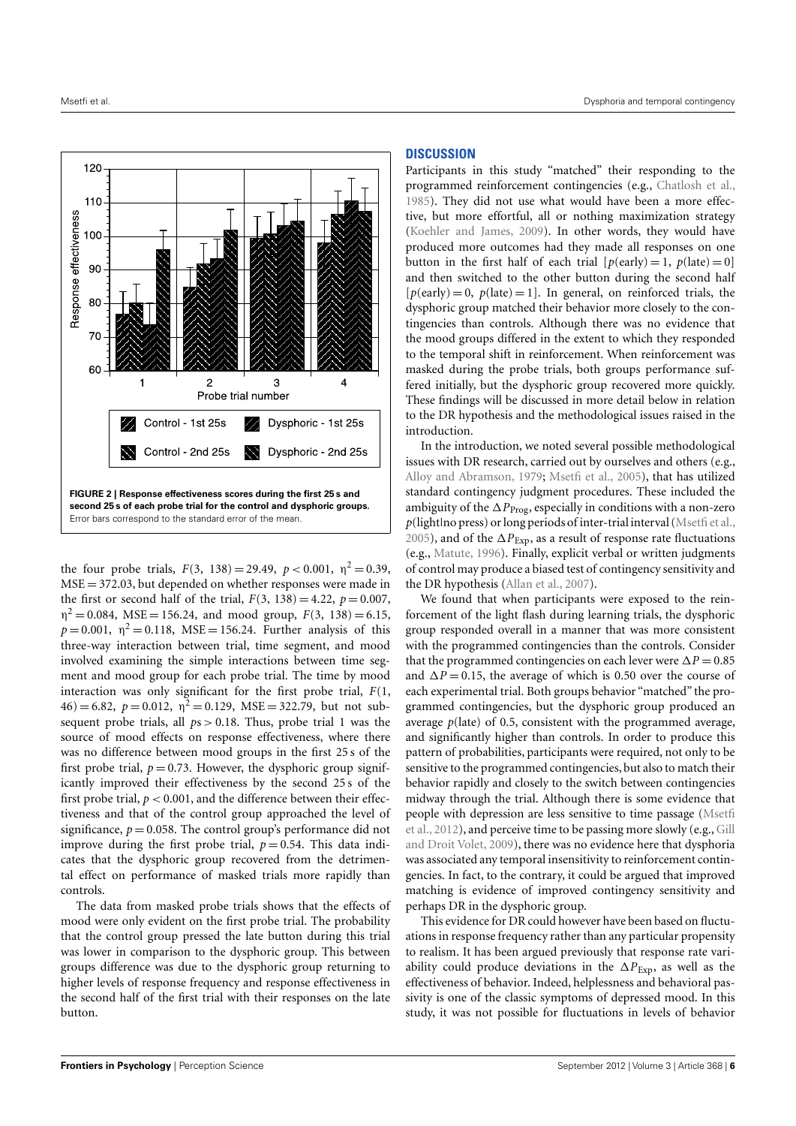

<span id="page-5-0"></span>the four probe trials,  $F(3, 138) = 29.49$ ,  $p < 0.001$ ,  $p<sup>2</sup> = 0.39$ ,  $MSE = 372.03$ , but depended on whether responses were made in the first or second half of the trial,  $F(3, 138) = 4.22$ ,  $p = 0.007$ ,  $\eta^2 = 0.084$ , MSE = 156.24, and mood group,  $F(3, 138) = 6.15$ ,  $p = 0.001$ ,  $\eta^2 = 0.118$ , MSE = 156.24. Further analysis of this three-way interaction between trial, time segment, and mood involved examining the simple interactions between time segment and mood group for each probe trial. The time by mood interaction was only significant for the first probe trial, *F*(1,  $46$  = 6.82,  $p = 0.012$ ,  $\eta^2 = 0.129$ , MSE = 322.79, but not subsequent probe trials, all  $ps > 0.18$ . Thus, probe trial 1 was the source of mood effects on response effectiveness, where there was no difference between mood groups in the first 25 s of the first probe trial,  $p = 0.73$ . However, the dysphoric group significantly improved their effectiveness by the second 25 s of the first probe trial,  $p < 0.001$ , and the difference between their effectiveness and that of the control group approached the level of significance,  $p = 0.058$ . The control group's performance did not improve during the first probe trial,  $p = 0.54$ . This data indicates that the dysphoric group recovered from the detrimental effect on performance of masked trials more rapidly than controls.

The data from masked probe trials shows that the effects of mood were only evident on the first probe trial. The probability that the control group pressed the late button during this trial was lower in comparison to the dysphoric group. This between groups difference was due to the dysphoric group returning to higher levels of response frequency and response effectiveness in the second half of the first trial with their responses on the late button.

#### **DISCUSSION**

Participants in this study "matched" their responding to the programmed reinforcement contingencies (e.g., [Chatlosh et al.,](#page-7-8) [1985\)](#page-7-8). They did not use what would have been a more effective, but more effortful, all or nothing maximization strategy [\(Koehler and James,](#page-7-17) [2009\)](#page-7-17). In other words, they would have produced more outcomes had they made all responses on one button in the first half of each trial  $[p(early) = 1, p(late) = 0]$ and then switched to the other button during the second half  $[p(early) = 0, p(late) = 1]$ . In general, on reinforced trials, the dysphoric group matched their behavior more closely to the contingencies than controls. Although there was no evidence that the mood groups differed in the extent to which they responded to the temporal shift in reinforcement. When reinforcement was masked during the probe trials, both groups performance suffered initially, but the dysphoric group recovered more quickly. These findings will be discussed in more detail below in relation to the DR hypothesis and the methodological issues raised in the introduction.

In the introduction, we noted several possible methodological issues with DR research, carried out by ourselves and others (e.g., [Alloy and Abramson,](#page-6-0) [1979;](#page-6-0) [Msetfi et al.,](#page-7-12) [2005\)](#page-7-12), that has utilized standard contingency judgment procedures. These included the ambiguity of the  $\Delta P_{\text{Prog}}$ , especially in conditions with a non-zero *p*(light|no press) or long periods of inter-trial interval [\(Msetfi et al.,](#page-7-12) [2005\)](#page-7-12), and of the ∆*P*<sub>Exp</sub>, as a result of response rate fluctuations (e.g., [Matute,](#page-7-15) [1996\)](#page-7-15). Finally, explicit verbal or written judgments of control may produce a biased test of contingency sensitivity and the DR hypothesis [\(Allan et al.,](#page-6-8) [2007\)](#page-6-8).

We found that when participants were exposed to the reinforcement of the light flash during learning trials, the dysphoric group responded overall in a manner that was more consistent with the programmed contingencies than the controls. Consider that the programmed contingencies on each lever were  $\Delta P = 0.85$ and  $\Delta P = 0.15$ , the average of which is 0.50 over the course of each experimental trial. Both groups behavior "matched" the programmed contingencies, but the dysphoric group produced an average *p*(late) of 0.5, consistent with the programmed average, and significantly higher than controls. In order to produce this pattern of probabilities, participants were required, not only to be sensitive to the programmed contingencies, but also to match their behavior rapidly and closely to the switch between contingencies midway through the trial. Although there is some evidence that people with depression are less sensitive to time passage [\(Msetfi](#page-7-21) [et al.,](#page-7-21) [2012\)](#page-7-21), and perceive time to be passing more slowly (e.g., [Gill](#page-7-20) [and Droit Volet,](#page-7-20) [2009\)](#page-7-20), there was no evidence here that dysphoria was associated any temporal insensitivity to reinforcement contingencies. In fact, to the contrary, it could be argued that improved matching is evidence of improved contingency sensitivity and perhaps DR in the dysphoric group.

This evidence for DR could however have been based on fluctuations in response frequency rather than any particular propensity to realism. It has been argued previously that response rate variability could produce deviations in the ∆*P*Exp, as well as the effectiveness of behavior. Indeed, helplessness and behavioral passivity is one of the classic symptoms of depressed mood. In this study, it was not possible for fluctuations in levels of behavior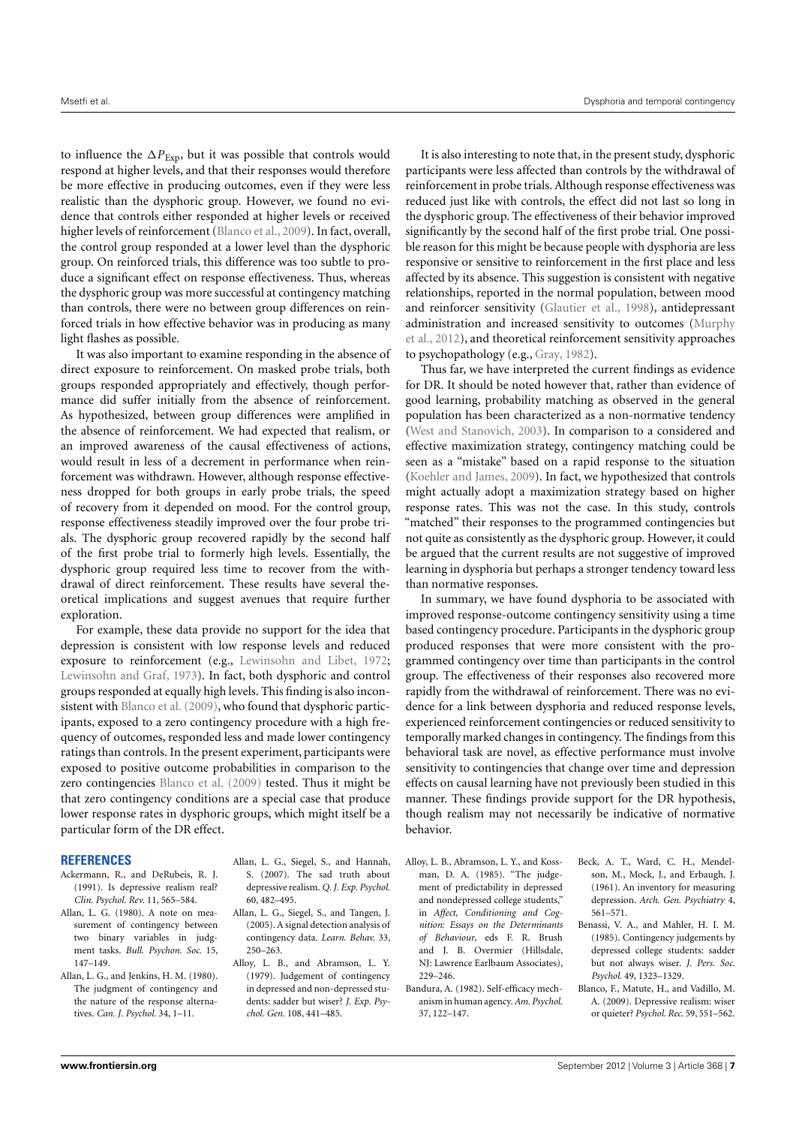to influence the  $\Delta P_{\text{Exp}}$ , but it was possible that controls would respond at higher levels, and that their responses would therefore be more effective in producing outcomes, even if they were less realistic than the dysphoric group. However, we found no evidence that controls either responded at higher levels or received higher levels of reinforcement [\(Blanco et al.,](#page-6-9) [2009\)](#page-6-9). In fact, overall, the control group responded at a lower level than the dysphoric group. On reinforced trials, this difference was too subtle to produce a significant effect on response effectiveness. Thus, whereas the dysphoric group was more successful at contingency matching than controls, there were no between group differences on reinforced trials in how effective behavior was in producing as many light flashes as possible.

It was also important to examine responding in the absence of direct exposure to reinforcement. On masked probe trials, both groups responded appropriately and effectively, though performance did suffer initially from the absence of reinforcement. As hypothesized, between group differences were amplified in the absence of reinforcement. We had expected that realism, or an improved awareness of the causal effectiveness of actions, would result in less of a decrement in performance when reinforcement was withdrawn. However, although response effectiveness dropped for both groups in early probe trials, the speed of recovery from it depended on mood. For the control group, response effectiveness steadily improved over the four probe trials. The dysphoric group recovered rapidly by the second half of the first probe trial to formerly high levels. Essentially, the dysphoric group required less time to recover from the withdrawal of direct reinforcement. These results have several theoretical implications and suggest avenues that require further exploration.

For example, these data provide no support for the idea that depression is consistent with low response levels and reduced exposure to reinforcement (e.g., [Lewinsohn and Libet,](#page-7-28) [1972;](#page-7-28) [Lewinsohn and Graf,](#page-7-29) [1973\)](#page-7-29). In fact, both dysphoric and control groups responded at equally high levels. This finding is also incon-sistent with [Blanco et al.](#page-6-9) [\(2009\)](#page-6-9), who found that dysphoric participants, exposed to a zero contingency procedure with a high frequency of outcomes, responded less and made lower contingency ratings than controls. In the present experiment, participants were exposed to positive outcome probabilities in comparison to the zero contingencies [Blanco et al.](#page-6-9) [\(2009\)](#page-6-9) tested. Thus it might be that zero contingency conditions are a special case that produce lower response rates in dysphoric groups, which might itself be a particular form of the DR effect.

#### **REFERENCES**

- <span id="page-6-6"></span>Ackermann, R., and DeRubeis, R. J. (1991). Is depressive realism real? *Clin. Psychol. Rev.* 11, 565–584.
- <span id="page-6-4"></span>Allan, L. G. (1980). A note on measurement of contingency between two binary variables in judgment tasks. *Bull. Psychon. Soc.* 15, 147–149.
- <span id="page-6-5"></span>Allan, L. G., and Jenkins, H. M. (1980). The judgment of contingency and the nature of the response alternatives. *Can. J. Psychol.* 34, 1–11.
- <span id="page-6-8"></span>Allan, L. G., Siegel, S., and Hannah, S. (2007). The sad truth about depressive realism. *Q. J. Exp. Psychol.* 60, 482–495.
- <span id="page-6-7"></span>Allan, L. G., Siegel, S., and Tangen, J. (2005). A signal detection analysis of contingency data. *Learn. Behav.* 33, 250–263.
- <span id="page-6-0"></span>Alloy, L. B., and Abramson, L. Y. (1979). Judgement of contingency in depressed and non-depressed students: sadder but wiser? *J. Exp. Psychol. Gen.* 108, 441–485.

It is also interesting to note that, in the present study, dysphoric participants were less affected than controls by the withdrawal of reinforcement in probe trials. Although response effectiveness was reduced just like with controls, the effect did not last so long in the dysphoric group. The effectiveness of their behavior improved significantly by the second half of the first probe trial. One possible reason for this might be because people with dysphoria are less responsive or sensitive to reinforcement in the first place and less affected by its absence. This suggestion is consistent with negative relationships, reported in the normal population, between mood and reinforcer sensitivity [\(Glautier et al.,](#page-7-30) [1998\)](#page-7-30), antidepressant administration and increased sensitivity to outcomes [\(Murphy](#page-7-31) [et al.,](#page-7-31) [2012\)](#page-7-31), and theoretical reinforcement sensitivity approaches to psychopathology (e.g., [Gray,](#page-7-32) [1982\)](#page-7-32).

Thus far, we have interpreted the current findings as evidence for DR. It should be noted however that, rather than evidence of good learning, probability matching as observed in the general population has been characterized as a non-normative tendency [\(West and Stanovich,](#page-7-33) [2003\)](#page-7-33). In comparison to a considered and effective maximization strategy, contingency matching could be seen as a "mistake" based on a rapid response to the situation [\(Koehler and James,](#page-7-17) [2009\)](#page-7-17). In fact, we hypothesized that controls might actually adopt a maximization strategy based on higher response rates. This was not the case. In this study, controls "matched" their responses to the programmed contingencies but not quite as consistently as the dysphoric group. However, it could be argued that the current results are not suggestive of improved learning in dysphoria but perhaps a stronger tendency toward less than normative responses.

In summary, we have found dysphoria to be associated with improved response-outcome contingency sensitivity using a time based contingency procedure. Participants in the dysphoric group produced responses that were more consistent with the programmed contingency over time than participants in the control group. The effectiveness of their responses also recovered more rapidly from the withdrawal of reinforcement. There was no evidence for a link between dysphoria and reduced response levels, experienced reinforcement contingencies or reduced sensitivity to temporally marked changes in contingency. The findings from this behavioral task are novel, as effective performance must involve sensitivity to contingencies that change over time and depression effects on causal learning have not previously been studied in this manner. These findings provide support for the DR hypothesis, though realism may not necessarily be indicative of normative behavior.

- <span id="page-6-2"></span>Alloy, L. B., Abramson, L. Y., and Kossman, D. A. (1985). "The judgement of predictability in depressed and nondepressed college students," in *Affect, Conditioning and Cognition: Essays on the Determinants of Behaviour*, eds F. R. Brush and J. B. Overmier (Hillsdale, NJ: Lawrence Earlbaum Associates), 229–246.
- <span id="page-6-1"></span>Bandura, A. (1982). Self-efficacy mechanism in human agency.*Am. Psychol.* 37, 122–147.
- <span id="page-6-10"></span>Beck, A. T., Ward, C. H., Mendelson, M., Mock, J., and Erbaugh, J. (1961). An inventory for measuring depression. *Arch. Gen. Psychiatry* 4, 561–571.
- <span id="page-6-3"></span>Benassi, V. A., and Mahler, H. I. M. (1985). Contingency judgements by depressed college students: sadder but not always wiser. *J. Pers. Soc. Psychol.* 49, 1323–1329.
- <span id="page-6-9"></span>Blanco, F., Matute, H., and Vadillo, M. A. (2009). Depressive realism: wiser or quieter? *Psychol. Rec.* 59, 551–562.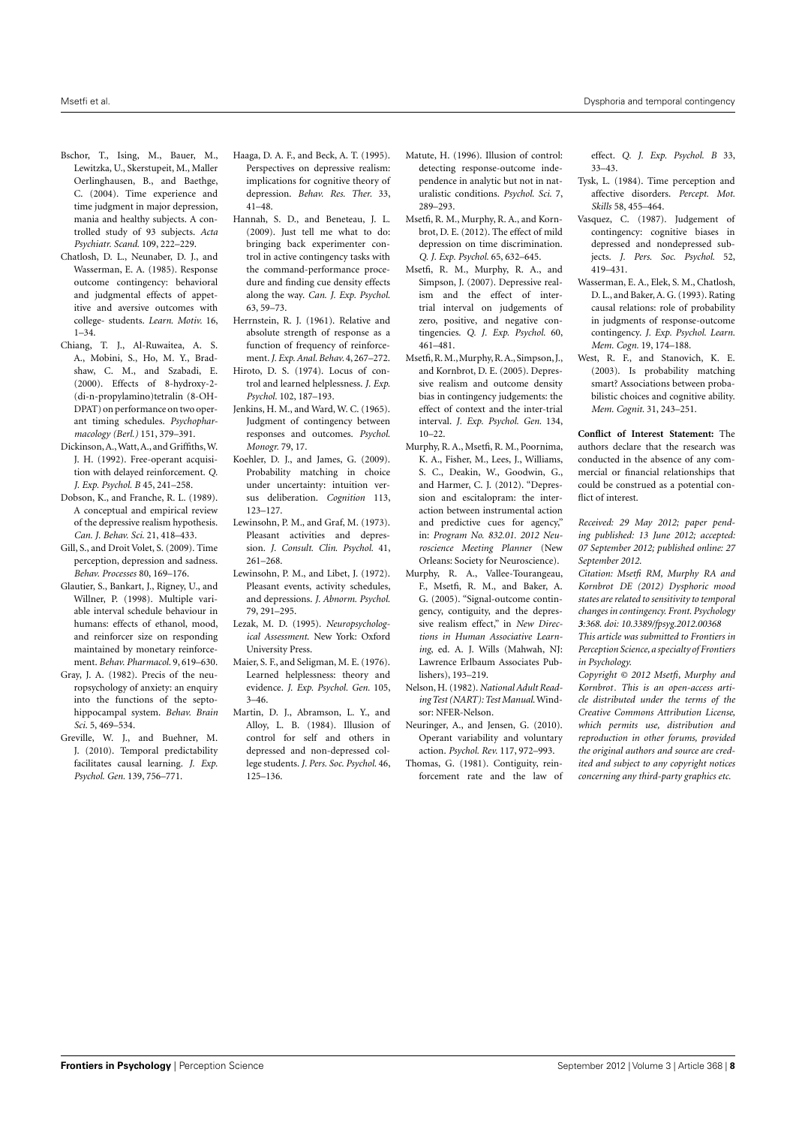- <span id="page-7-25"></span>Bschor, T., Ising, M., Bauer, M., Lewitzka, U., Skerstupeit, M., Maller Oerlinghausen, B., and Baethge, C. (2004). Time experience and time judgment in major depression, mania and healthy subjects. A controlled study of 93 subjects. *Acta Psychiatr. Scand.* 109, 222–229.
- <span id="page-7-8"></span>Chatlosh, D. L., Neunaber, D. J., and Wasserman, E. A. (1985). Response outcome contingency: behavioral and judgmental effects of appetitive and aversive outcomes with college- students. *Learn. Motiv.* 16,  $1 - 34$
- <span id="page-7-6"></span>Chiang, T. J., Al-Ruwaitea, A. S. A., Mobini, S., Ho, M. Y., Bradshaw, C. M., and Szabadi, E. (2000). Effects of 8-hydroxy-2- (di-n-propylamino)tetralin (8-OH-DPAT) on performance on two operant timing schedules. *Psychopharmacology (Berl.)* 151, 379–391.
- <span id="page-7-5"></span>Dickinson,A.,Watt,A., and Griffiths,W. J. H. (1992). Free-operant acquisition with delayed reinforcement. *Q. J. Exp. Psychol. B* 45, 241–258.
- <span id="page-7-3"></span>Dobson, K., and Franche, R. L. (1989). A conceptual and empirical review of the depressive realism hypothesis. *Can. J. Behav. Sci.* 21, 418–433.
- <span id="page-7-20"></span>Gill, S., and Droit Volet, S. (2009). Time perception, depression and sadness. *Behav. Processes* 80, 169–176.
- <span id="page-7-30"></span>Glautier, S., Bankart, J., Rigney, U., and Willner, P. (1998). Multiple variable interval schedule behaviour in humans: effects of ethanol, mood, and reinforcer size on responding maintained by monetary reinforcement. *Behav. Pharmacol.* 9, 619–630.
- <span id="page-7-32"></span>Gray, J. A. (1982). Precis of the neuropsychology of anxiety: an enquiry into the functions of the septohippocampal system. *Behav. Brain Sci.* 5, 469–534.
- <span id="page-7-19"></span>Greville, W. J., and Buehner, M. J. (2010). Temporal predictability facilitates causal learning. *J. Exp. Psychol. Gen.* 139, 756–771.
- <span id="page-7-11"></span>Haaga, D. A. F., and Beck, A. T. (1995). Perspectives on depressive realism: implications for cognitive theory of depression. *Behav. Res. Ther.* 33, 41–48.
- <span id="page-7-16"></span>Hannah, S. D., and Beneteau, J. L. (2009). Just tell me what to do: bringing back experimenter control in active contingency tasks with the command-performance procedure and finding cue density effects along the way. *Can. J. Exp. Psychol.* 63, 59–73.
- Herrnstein, R. J. (1961). Relative and absolute strength of response as a function of frequency of reinforcement.*J. Exp. Anal. Behav.* 4,267–272.
- <span id="page-7-22"></span>Hiroto, D. S. (1974). Locus of control and learned helplessness. *J. Exp. Psychol.* 102, 187–193.
- <span id="page-7-7"></span>Jenkins, H. M., and Ward, W. C. (1965). Judgment of contingency between responses and outcomes. *Psychol. Monogr.* 79, 17.
- <span id="page-7-17"></span>Koehler, D. J., and James, G. (2009). Probability matching in choice under uncertainty: intuition versus deliberation. *Cognition* 113, 123–127.
- <span id="page-7-29"></span>Lewinsohn, P. M., and Graf, M. (1973). Pleasant activities and depression. *J. Consult. Clin. Psychol.* 41, 261–268.
- <span id="page-7-28"></span>Lewinsohn, P. M., and Libet, J. (1972). Pleasant events, activity schedules, and depressions. *J. Abnorm. Psychol.* 79, 291–295.
- <span id="page-7-27"></span>Lezak, M. D. (1995). *Neuropsychological Assessment*. New York: Oxford University Press.
- <span id="page-7-23"></span>Maier, S. F., and Seligman, M. E. (1976). Learned helplessness: theory and evidence. *J. Exp. Psychol. Gen.* 105, 3–46.
- <span id="page-7-1"></span>Martin, D. J., Abramson, L. Y., and Alloy, L. B. (1984). Illusion of control for self and others in depressed and non-depressed college students. *J. Pers. Soc. Psychol.* 46, 125–136.
- <span id="page-7-15"></span>Matute, H. (1996). Illusion of control: detecting response-outcome independence in analytic but not in naturalistic conditions. *Psychol. Sci.* 7, 289–293.
- <span id="page-7-21"></span>Msetfi, R. M., Murphy, R. A., and Kornbrot, D. E. (2012). The effect of mild depression on time discrimination. *Q. J. Exp. Psychol.* 65, 632–645.
- <span id="page-7-13"></span>Msetfi, R. M., Murphy, R. A., and Simpson, J. (2007). Depressive realism and the effect of intertrial interval on judgements of zero, positive, and negative contingencies. *Q. J. Exp. Psychol.* 60, 461–481.
- <span id="page-7-12"></span>Msetfi,R.M.,Murphy,R.A.,Simpson, J., and Kornbrot, D. E. (2005). Depressive realism and outcome density bias in contingency judgements: the effect of context and the inter-trial interval. *J. Exp. Psychol. Gen.* 134, 10–22.
- <span id="page-7-31"></span>Murphy, R. A., Msetfi, R. M., Poornima, K. A., Fisher, M., Lees, J., Williams, S. C., Deakin, W., Goodwin, G., and Harmer, C. J. (2012). "Depression and escitalopram: the interaction between instrumental action and predictive cues for agency," in: *Program No. 832.01. 2012 Neuroscience Meeting Planner* (New Orleans: Society for Neuroscience).
- <span id="page-7-14"></span>Murphy, R. A., Vallee-Tourangeau, F., Msetfi, R. M., and Baker, A. G. (2005). "Signal-outcome contingency, contiguity, and the depressive realism effect," in *New Directions in Human Associative Learning*, ed. A. J. Wills (Mahwah, NJ: Lawrence Erlbaum Associates Publishers), 193–219.
- <span id="page-7-26"></span>Nelson, H. (1982). *National Adult Reading Test (NART): Test Manual*.Windsor: NFER-Nelson.
- <span id="page-7-0"></span>Neuringer, A., and Jensen, G. (2010). Operant variability and voluntary action. *Psychol. Rev.* 117, 972–993.
- <span id="page-7-4"></span>Thomas, G. (1981). Contiguity, reinforcement rate and the law of

effect. *Q. J. Exp. Psychol. B* 33, 33–43.

- <span id="page-7-24"></span>Tysk, L. (1984). Time perception and affective disorders. *Percept. Mot. Skills* 58, 455–464.
- <span id="page-7-2"></span>Vasquez, C. (1987). Judgement of contingency: cognitive biases in depressed and nondepressed subjects. *J. Pers. Soc. Psychol.* 52, 419–431.
- <span id="page-7-9"></span>Wasserman, E. A., Elek, S. M., Chatlosh, D. L., and Baker,A. G. (1993). Rating causal relations: role of probability in judgments of response-outcome contingency. *J. Exp. Psychol. Learn. Mem. Cogn.* 19, 174–188.
- <span id="page-7-33"></span><span id="page-7-18"></span>West, R. F., and Stanovich, K. E. (2003). Is probability matching smart? Associations between probabilistic choices and cognitive ability. *Mem. Cognit.* 31, 243–251.

<span id="page-7-10"></span>**Conflict of Interest Statement:** The authors declare that the research was conducted in the absence of any commercial or financial relationships that could be construed as a potential conflict of interest.

*Received: 29 May 2012; paper pending published: 13 June 2012; accepted: 07 September 2012; published online: 27 September 2012.*

*Citation: Msetfi RM, Murphy RA and Kornbrot DE (2012) Dysphoric mood states are related to sensitivity to temporal changes in contingency. Front. Psychology 3:368. doi: [10.3389/fpsyg.2012.00368](http://dx.doi.org/10.3389/fpsyg.2012.00368)*

*This article was submitted to Frontiers in Perception Science, a specialty of Frontiers in Psychology.*

*Copyright © 2012 Msetfi, Murphy and Kornbrot. This is an open-access article distributed under the terms of the [Creative Commons Attribution License,](http://creativecommons.org/licenses/by/3.0/) which permits use, distribution and reproduction in other forums, provided the original authors and source are credited and subject to any copyright notices concerning any third-party graphics etc.*